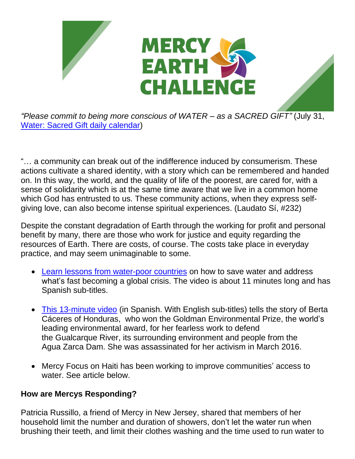

*"Please commit to being more conscious of WATER – as a SACRED GIFT"* (July 31, Water: Sacred Gift daily [calendar\)](https://www.sistersofmercy.org/files/images/Justice/Earth/CalendarMEC_English_FINAL-compressed.pdf)

"… a community can break out of the indifference induced by consumerism. These actions cultivate a shared identity, with a story which can be remembered and handed on. In this way, the world, and the quality of life of the poorest, are cared for, with a sense of solidarity which is at the same time aware that we live in a common home which God has entrusted to us. These community actions, when they express selfgiving love, can also become intense spiritual experiences. (Laudato Sí, #232)

Despite the constant degradation of Earth through the working for profit and personal benefit by many, there are those who work for justice and equity regarding the resources of Earth. There are costs, of course. The costs take place in everyday practice, and may seem unimaginable to some.

- Learn lessons from [water-poor](https://www.ted.com/talks/lana_mazahreh_3_thoughtful_ways_to_conserve_water) countries on how to save water and address what's fast becoming a global crisis. The video is about 11 minutes long and has Spanish sub-titles.
- This [13-minute](https://www.frontlinedefenders.org/en/berta-c%C3%A1ceres-guardiana-de-los-r%C3%ADos) video (in Spanish. With English sub-titles) tells the story of Berta Cáceres of Honduras, who won the Goldman Environmental Prize, the world's leading environmental award, for her fearless work to defend the Gualcarque River, its surrounding environment and people from the Agua Zarca Dam. She was assassinated for her activism in March 2016.
- Mercy Focus on Haiti has been working to improve communities' access to water. See article below.

## **How are Mercys Responding?**

Patricia Russillo, a friend of Mercy in New Jersey, shared that members of her household limit the number and duration of showers, don't let the water run when brushing their teeth, and limit their clothes washing and the time used to run water to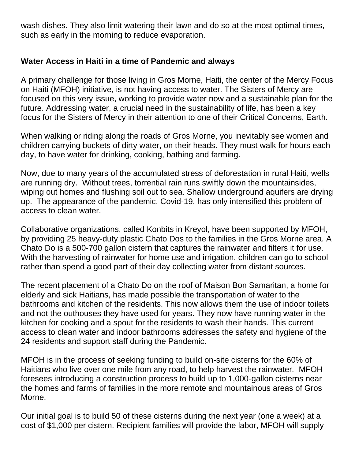wash dishes. They also limit watering their lawn and do so at the most optimal times, such as early in the morning to reduce evaporation.

## **Water Access in Haiti in a time of Pandemic and always**

A primary challenge for those living in Gros Morne, Haiti, the center of the Mercy Focus on Haiti (MFOH) initiative, is not having access to water. The Sisters of Mercy are focused on this very issue, working to provide water now and a sustainable plan for the future. Addressing water, a crucial need in the sustainability of life, has been a key focus for the Sisters of Mercy in their attention to one of their Critical Concerns, Earth.

When walking or riding along the roads of Gros Morne, you inevitably see women and children carrying buckets of dirty water, on their heads. They must walk for hours each day, to have water for drinking, cooking, bathing and farming.

Now, due to many years of the accumulated stress of deforestation in rural Haiti, wells are running dry. Without trees, torrential rain runs swiftly down the mountainsides, wiping out homes and flushing soil out to sea. Shallow underground aquifers are drying up. The appearance of the pandemic, Covid-19, has only intensified this problem of access to clean water.

Collaborative organizations, called Konbits in Kreyol, have been supported by MFOH, by providing 25 heavy-duty plastic Chato Dos to the families in the Gros Morne area. A Chato Do is a 500-700 gallon cistern that captures the rainwater and filters it for use. With the harvesting of rainwater for home use and irrigation, children can go to school rather than spend a good part of their day collecting water from distant sources.

The recent placement of a Chato Do on the roof of Maison Bon Samaritan, a home for elderly and sick Haitians, has made possible the transportation of water to the bathrooms and kitchen of the residents. This now allows them the use of indoor toilets and not the outhouses they have used for years. They now have running water in the kitchen for cooking and a spout for the residents to wash their hands. This current access to clean water and indoor bathrooms addresses the safety and hygiene of the 24 residents and support staff during the Pandemic.

MFOH is in the process of seeking funding to build on-site cisterns for the 60% of Haitians who live over one mile from any road, to help harvest the rainwater. MFOH foresees introducing a construction process to build up to 1,000-gallon cisterns near the homes and farms of families in the more remote and mountainous areas of Gros Morne.

Our initial goal is to build 50 of these cisterns during the next year (one a week) at a cost of \$1,000 per cistern. Recipient families will provide the labor, MFOH will supply